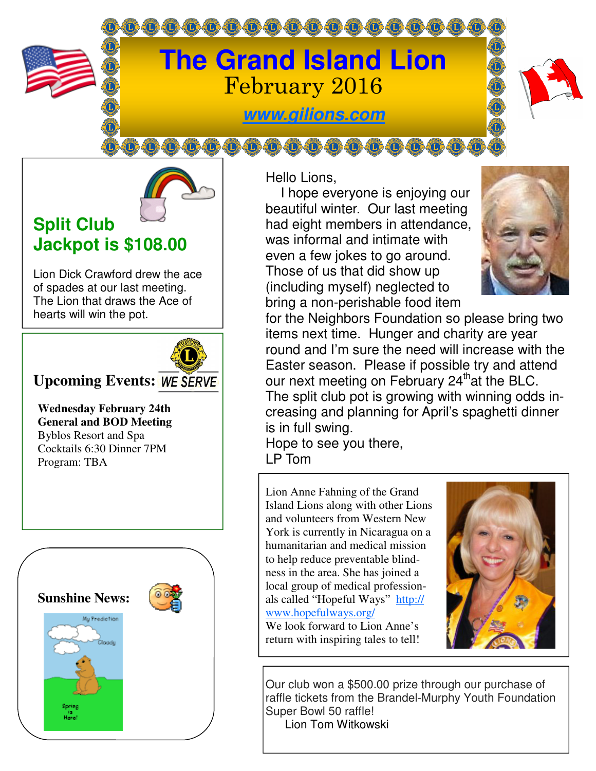

**@@@@@@@@@@@@@@** 



# **Split Club Jackpot is \$108.00**

Lion Dick Crawford drew the ace of spades at our last meeting. The Lion that draws the Ace of hearts will win the pot.



### **Upcoming Events:**

**Wednesday February 24th General and BOD Meeting**  Byblos Resort and Spa Cocktails 6:30 Dinner 7PM Program: TBA



Hello Lions,

 I hope everyone is enjoying our beautiful winter. Our last meeting had eight members in attendance, was informal and intimate with even a few jokes to go around. Those of us that did show up (including myself) neglected to bring a non-perishable food item



for the Neighbors Foundation so please bring two items next time. Hunger and charity are year round and I'm sure the need will increase with the Easter season. Please if possible try and attend our next meeting on February  $24<sup>th</sup>$ at the BLC. The split club pot is growing with winning odds increasing and planning for April's spaghetti dinner is in full swing.

Hope to see you there, LP Tom

Lion Anne Fahning of the Grand Island Lions along with other Lions and volunteers from Western New York is currently in Nicaragua on a humanitarian and medical mission to help reduce preventable blindness in the area. She has joined a local group of medical professionals called "Hopeful Ways" http:// www.hopefulways.org/ We look forward to Lion Anne's

return with inspiring tales to tell!



Our club won a \$500.00 prize through our purchase of raffle tickets from the Brandel-Murphy Youth Foundation Super Bowl 50 raffle! Lion Tom Witkowski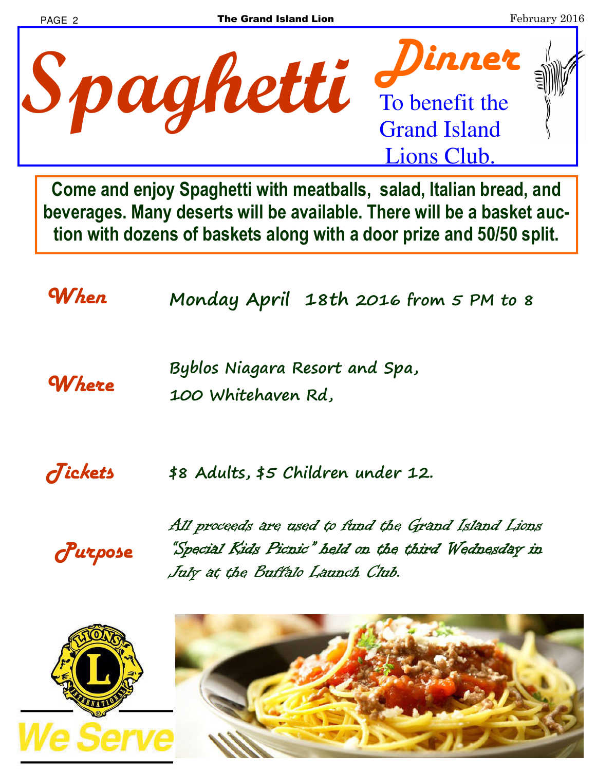

**Come and enjoy Spaghetti with meatballs, salad, Italian bread, and beverages. Many deserts will be available. There will be a basket auction with dozens of baskets along with a door prize and 50/50 split.** 

*When* **Monday April 18th 2016 from 5 PM to 8** 

*Where* **Byblos Niagara Resort and Spa, 100 Whitehaven Rd,** 

*Tickets* **\$8 Adults, \$5 Children under 12.** 

*Purpose* 

All proceeds are used to fund the Grand Island Lions "Special Kids Picnic" held on the third Wednesday in July at the Buffalo Launch Club.